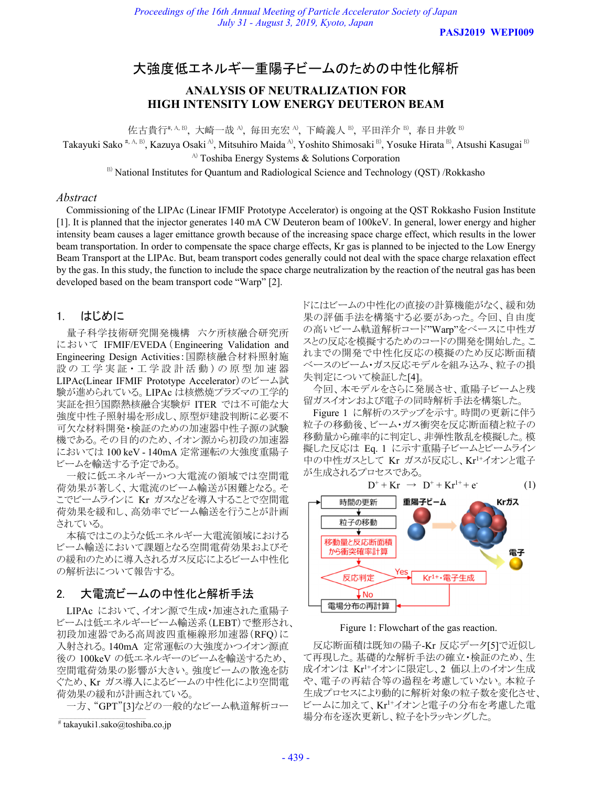**PASJ2019 WEPI009**

# 大強度低エネルギー重陽子ビームのための中性化解析

# **ANALYSIS OF NEUTRALIZATION FOR HIGH INTENSITY LOW ENERGY DEUTERON BEAM**

佐古貴行#, A, B), 大崎一哉 A), 毎田充宏 A), 下崎義人 B), 平田洋介 B), 春日井敦 B)

Takayuki Sako #, A, B), Kazuya Osaki A), Mitsuhiro Maida A), Yoshito Shimosaki B), Yosuke Hirata B), Atsushi Kasugai B)

 $A$ <sup>A)</sup> Toshiba Energy Systems & Solutions Corporation

B) National Institutes for Quantum and Radiological Science and Technology (QST) /Rokkasho

#### *Abstract*

Commissioning of the LIPAc (Linear IFMIF Prototype Accelerator) is ongoing at the QST Rokkasho Fusion Institute [1]. It is planned that the injector generates 140 mA CW Deuteron beam of 100keV. In general, lower energy and higher intensity beam causes a lager emittance growth because of the increasing space charge effect, which results in the lower beam transportation. In order to compensate the space charge effects, Kr gas is planned to be injected to the Low Energy Beam Transport at the LIPAc. But, beam transport codes generally could not deal with the space charge relaxation effect by the gas. In this study, the function to include the space charge neutralization by the reaction of the neutral gas has been developed based on the beam transport code "Warp" [2].

# 1. はじめに

量子科学技術研究開発機構 六ケ所核融合研究所 において IFMIF/EVEDA(Engineering Validation and Engineering Design Activities:国際核融合材料照射施 設の工学実証·工学設計活動)の原型加速器 LIPAc(Linear IFMIF Prototype Accelerator)のビーム試 験が進められている。LIPAc は核燃焼プラズマの工学的 実証を担う国際熱核融合実験炉 ITER では不可能な大 強度中性子照射場を形成し、原型炉建設判断に必要不 可欠な材料開発・検証のための加速器中性子源の試験 機である。その目的のため、イオン源から初段の加速器 においては 100 keV - 140mA 定常運転の大強度重陽子 ビームを輸送する予定である。

一般に低エネルギーかつ大電流の領域では空間電 荷効果が著しく、大電流のビーム輸送が困難となる。そ こでビームラインに Kr ガスなどを導入することで空間電 荷効果を緩和し、高効率でビーム輸送を行うことが計画 されている。

本稿ではこのような低エネルギー大電流領域における ビーム輸送において課題となる空間電荷効果およびそ の緩和のために導入されるガス反応によるビーム中性化 の解析法について報告する。

# 2. 大電流ビームの中性化と解析手法

LIPAc において、イオン源で生成・加速された重陽子 ビームは低エネルギービーム輸送系(LEBT)で整形され、 初段加速器である高周波四重極線形加速器(RFQ)に 入射される。140mA 定常運転の大強度かつイオン源直 後の 100keV の低エネルギーのビームを輸送するため、 空間電荷効果の影響が大きい。強度ビームの散逸を防 ぐため、Kr ガス導入によるビームの中性化により空間電 荷効果の緩和が計画されている。

一方、"GPT"[3]などの一般的なビーム軌道解析コー

ドにはビームの中性化の直接の計算機能がなく、緩和効 果の評価手法を構築する必要があった。今回、自由度 の高いビーム軌道解析コード"Warp"をベースに中性ガ スとの反応を模擬するためのコードの開発を開始した。こ れまでの開発で中性化反応の模擬のため反応断面積 ベースのビーム・ガス反応モデルを組み込み、粒子の損 失判定について検証した[4]。

今回、本モデルをさらに発展させ、重陽子ビームと残 留ガスイオンおよび電子の同時解析手法を構築した。

Figure 1 に解析のステップを示す。時間の更新に伴う 粒子の移動後、ビーム・ガス衝突を反応断面積と粒子の 移動量から確率的に判定し、非弾性散乱を模擬した。模 擬した反応は Eq. 1 に示す重陽子ビームとビームライン 中の中性ガスとして Kr ガスが反応し、Kr1+イオンと電子 が生成されるプロセスである。



Figure 1: Flowchart of the gas reaction.

反応断面積は既知の陽子-Kr 反応データ[5]で近似し て再現した。基礎的な解析手法の確立・検証のため、生 成イオンは Kr1+イオンに限定し、2 価以上のイオン生成 や、電子の再結合等の過程を考慮していない。本粒子 生成プロセスにより動的に解析対象の粒子数を変化させ、 ビームに加えて、Kr1+イオンと電子の分布を考慮した電 場分布を逐次更新し、粒子をトラッキングした。

<sup>#</sup> takayuki1.sako@toshiba.co.jp